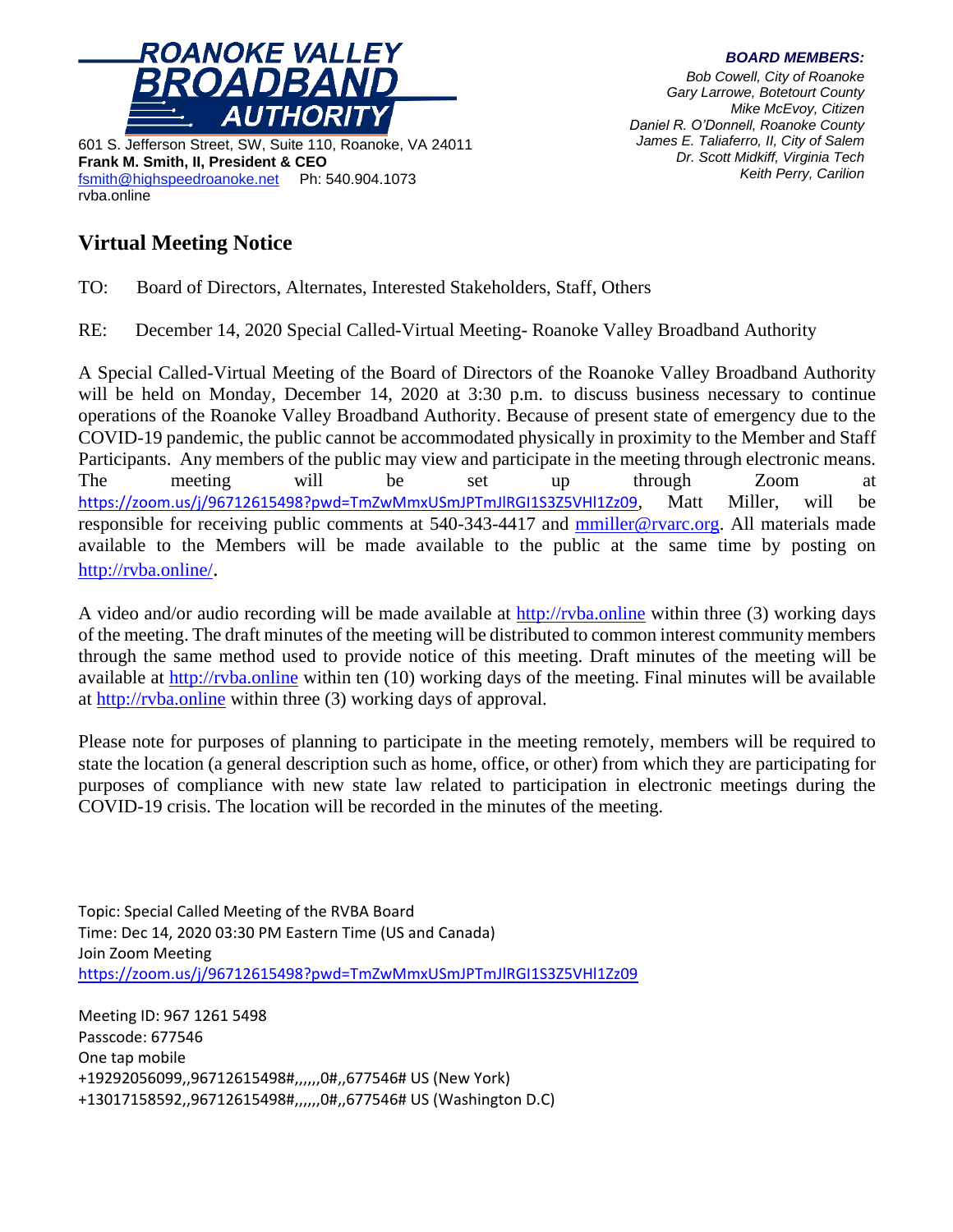

601 S. Jefferson Street, SW, Suite 110, Roanoke, VA 24011 **Frank M. Smith, II, President & CEO** [fsmith@highspeedroanoke.net](mailto:fsmith@highspeedroanoke.net) Ph: 540.904.1073 rvba.online

## **Virtual Meeting Notice**

*BOARD MEMBERS: Bob Cowell, City of Roanoke Gary Larrowe, Botetourt County Mike McEvoy, Citizen Daniel R. O'Donnell, Roanoke County James E. Taliaferro, II, City of Salem*

*Dr. Scott Midkiff, Virginia Tech*

*Keith Perry, Carilion*

TO: Board of Directors, Alternates, Interested Stakeholders, Staff, Others

RE: December 14, 2020 Special Called-Virtual Meeting- Roanoke Valley Broadband Authority

A Special Called-Virtual Meeting of the Board of Directors of the Roanoke Valley Broadband Authority will be held on Monday, December 14, 2020 at 3:30 p.m. to discuss business necessary to continue operations of the Roanoke Valley Broadband Authority. Because of present state of emergency due to the COVID-19 pandemic, the public cannot be accommodated physically in proximity to the Member and Staff Participants. Any members of the public may view and participate in the meeting through electronic means. The meeting will be set up through Zoom at <https://zoom.us/j/96712615498?pwd=TmZwMmxUSmJPTmJlRGI1S3Z5VHl1Zz09>, Matt Miller, will be responsible for receiving public comments at 540-343-4417 and [mmiller@rvarc.org.](mailto:mmiller@rvarc.org) All materials made available to the Members will be made available to the public at the same time by posting on <http://rvba.online/>.

A video and/or audio recording will be made available at [http://rvba.online](http://rvba.online/) within three (3) working days of the meeting. The draft minutes of the meeting will be distributed to common interest community members through the same method used to provide notice of this meeting. Draft minutes of the meeting will be available at [http://rvba.online](http://rvba.online/) within ten (10) working days of the meeting. Final minutes will be available at [http://rvba.online](http://rvba.online/) within three (3) working days of approval.

Please note for purposes of planning to participate in the meeting remotely, members will be required to state the location (a general description such as home, office, or other) from which they are participating for purposes of compliance with new state law related to participation in electronic meetings during the COVID-19 crisis. The location will be recorded in the minutes of the meeting.

Topic: Special Called Meeting of the RVBA Board Time: Dec 14, 2020 03:30 PM Eastern Time (US and Canada) Join Zoom Meeting <https://zoom.us/j/96712615498?pwd=TmZwMmxUSmJPTmJlRGI1S3Z5VHl1Zz09>

Meeting ID: 967 1261 5498 Passcode: 677546 One tap mobile +19292056099,,96712615498#,,,,,,0#,,677546# US (New York) +13017158592,,96712615498#,,,,,,0#,,677546# US (Washington D.C)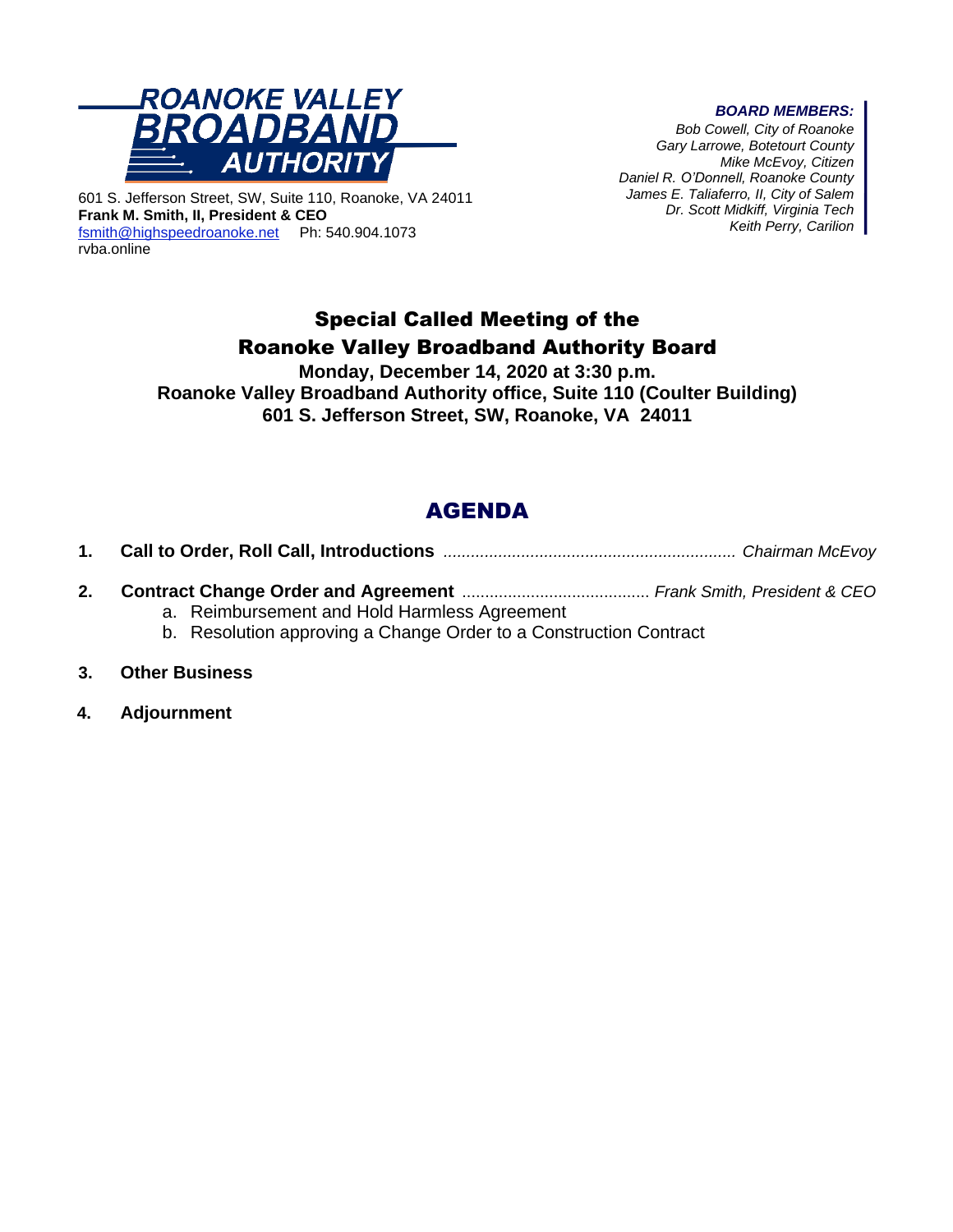

601 S. Jefferson Street, SW, Suite 110, Roanoke, VA 24011 **Frank M. Smith, II, President & CEO** [fsmith@highspeedroanoke.net](mailto:fsmith@highspeedroanoke.net) Ph: 540.904.1073 rvba.online

#### *BOARD MEMBERS:*

*Bob Cowell, City of Roanoke Gary Larrowe, Botetourt County Mike McEvoy, Citizen Daniel R. O'Donnell, Roanoke County James E. Taliaferro, II, City of Salem Dr. Scott Midkiff, Virginia Tech Keith Perry, Carilion*

# Special Called Meeting of the Roanoke Valley Broadband Authority Board

**Monday, December 14, 2020 at 3:30 p.m. Roanoke Valley Broadband Authority office, Suite 110 (Coulter Building) 601 S. Jefferson Street, SW, Roanoke, VA 24011**

# AGENDA

|--|--|--|--|

- **2. Contract Change Order and Agreement** ......................................... *Frank Smith, President & CEO*
	- a. Reimbursement and Hold Harmless Agreement
	- b. Resolution approving a Change Order to a Construction Contract
- **3. Other Business**
- **4. Adjournment**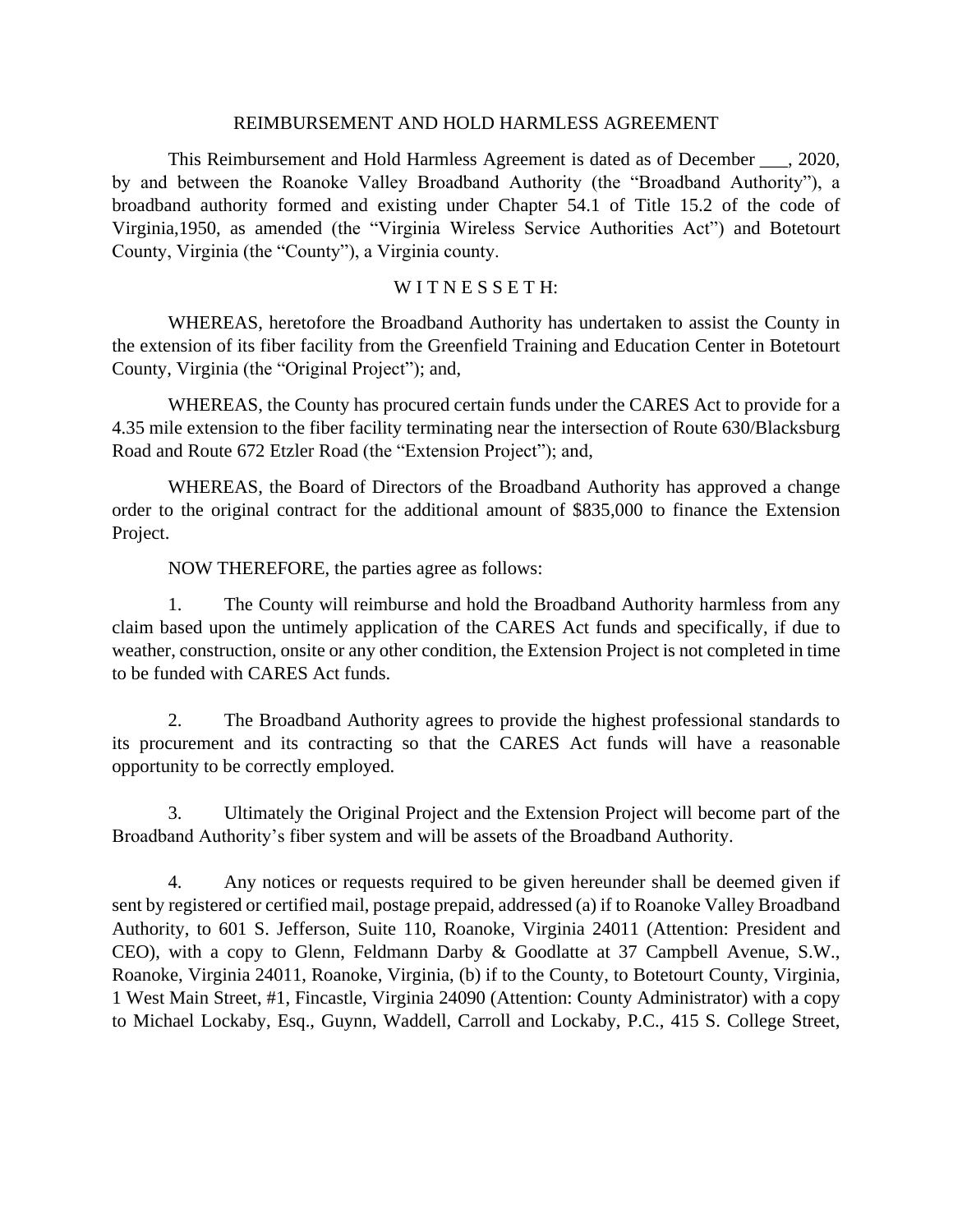#### REIMBURSEMENT AND HOLD HARMLESS AGREEMENT

This Reimbursement and Hold Harmless Agreement is dated as of December \_\_\_, 2020, by and between the Roanoke Valley Broadband Authority (the "Broadband Authority"), a broadband authority formed and existing under Chapter 54.1 of Title 15.2 of the code of Virginia,1950, as amended (the "Virginia Wireless Service Authorities Act") and Botetourt County, Virginia (the "County"), a Virginia county.

### WITNESSETH:

WHEREAS, heretofore the Broadband Authority has undertaken to assist the County in the extension of its fiber facility from the Greenfield Training and Education Center in Botetourt County, Virginia (the "Original Project"); and,

WHEREAS, the County has procured certain funds under the CARES Act to provide for a 4.35 mile extension to the fiber facility terminating near the intersection of Route 630/Blacksburg Road and Route 672 Etzler Road (the "Extension Project"); and,

WHEREAS, the Board of Directors of the Broadband Authority has approved a change order to the original contract for the additional amount of \$835,000 to finance the Extension Project.

NOW THEREFORE, the parties agree as follows:

1. The County will reimburse and hold the Broadband Authority harmless from any claim based upon the untimely application of the CARES Act funds and specifically, if due to weather, construction, onsite or any other condition, the Extension Project is not completed in time to be funded with CARES Act funds.

2. The Broadband Authority agrees to provide the highest professional standards to its procurement and its contracting so that the CARES Act funds will have a reasonable opportunity to be correctly employed.

3. Ultimately the Original Project and the Extension Project will become part of the Broadband Authority's fiber system and will be assets of the Broadband Authority.

4. Any notices or requests required to be given hereunder shall be deemed given if sent by registered or certified mail, postage prepaid, addressed (a) if to Roanoke Valley Broadband Authority, to 601 S. Jefferson, Suite 110, Roanoke, Virginia 24011 (Attention: President and CEO), with a copy to Glenn, Feldmann Darby & Goodlatte at 37 Campbell Avenue, S.W., Roanoke, Virginia 24011, Roanoke, Virginia, (b) if to the County, to Botetourt County, Virginia, 1 West Main Street, #1, Fincastle, Virginia 24090 (Attention: County Administrator) with a copy to Michael Lockaby, Esq., Guynn, Waddell, Carroll and Lockaby, P.C., 415 S. College Street,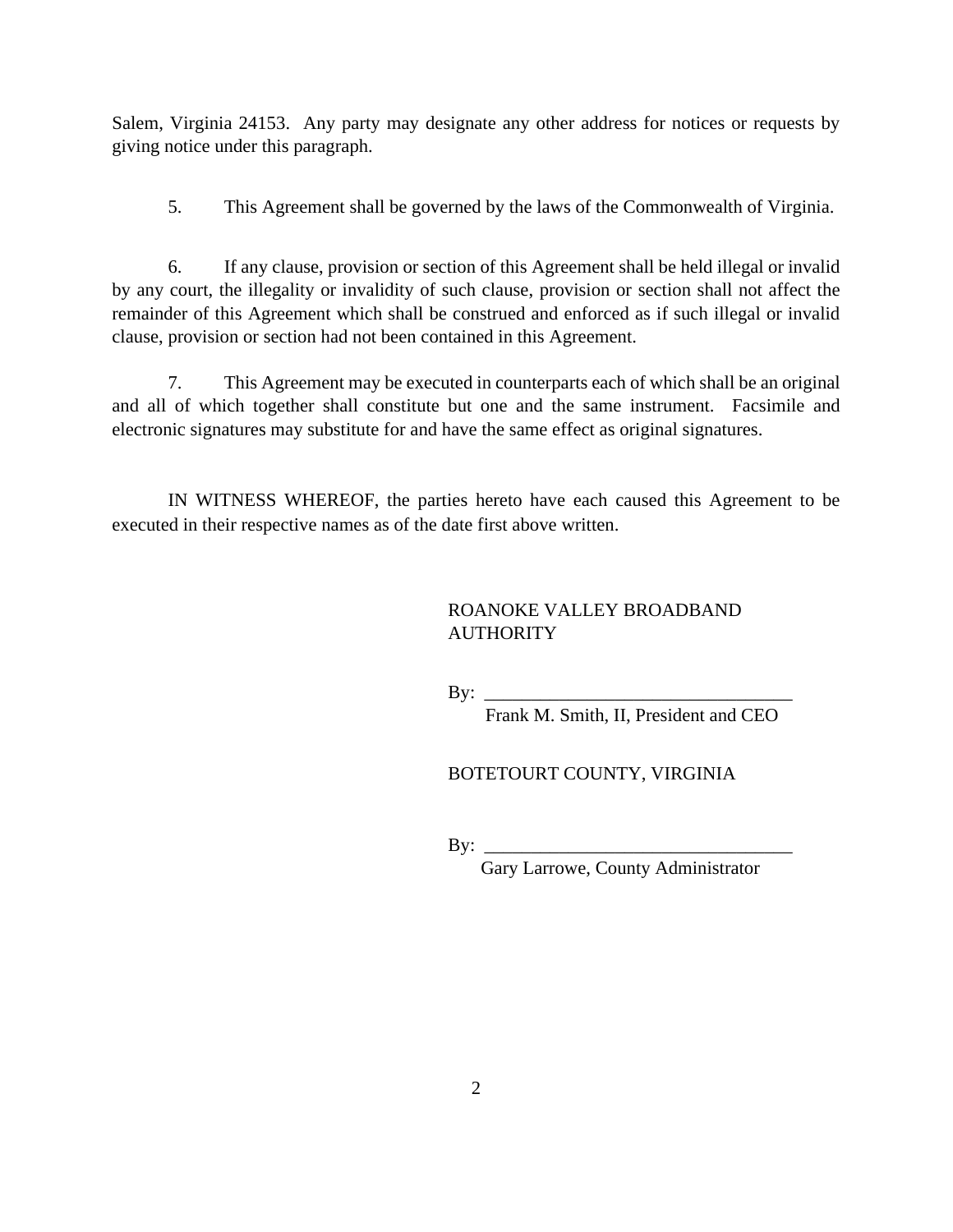Salem, Virginia 24153. Any party may designate any other address for notices or requests by giving notice under this paragraph.

5. This Agreement shall be governed by the laws of the Commonwealth of Virginia.

6. If any clause, provision or section of this Agreement shall be held illegal or invalid by any court, the illegality or invalidity of such clause, provision or section shall not affect the remainder of this Agreement which shall be construed and enforced as if such illegal or invalid clause, provision or section had not been contained in this Agreement.

7. This Agreement may be executed in counterparts each of which shall be an original and all of which together shall constitute but one and the same instrument. Facsimile and electronic signatures may substitute for and have the same effect as original signatures.

IN WITNESS WHEREOF, the parties hereto have each caused this Agreement to be executed in their respective names as of the date first above written.

### ROANOKE VALLEY BROADBAND **AUTHORITY**

By: \_\_\_\_\_\_\_\_\_\_\_\_\_\_\_\_\_\_\_\_\_\_\_\_\_\_\_\_\_\_\_\_\_

Frank M. Smith, II, President and CEO

BOTETOURT COUNTY, VIRGINIA

By:  $\frac{\text{c}}{\text{c}}$ 

Gary Larrowe, County Administrator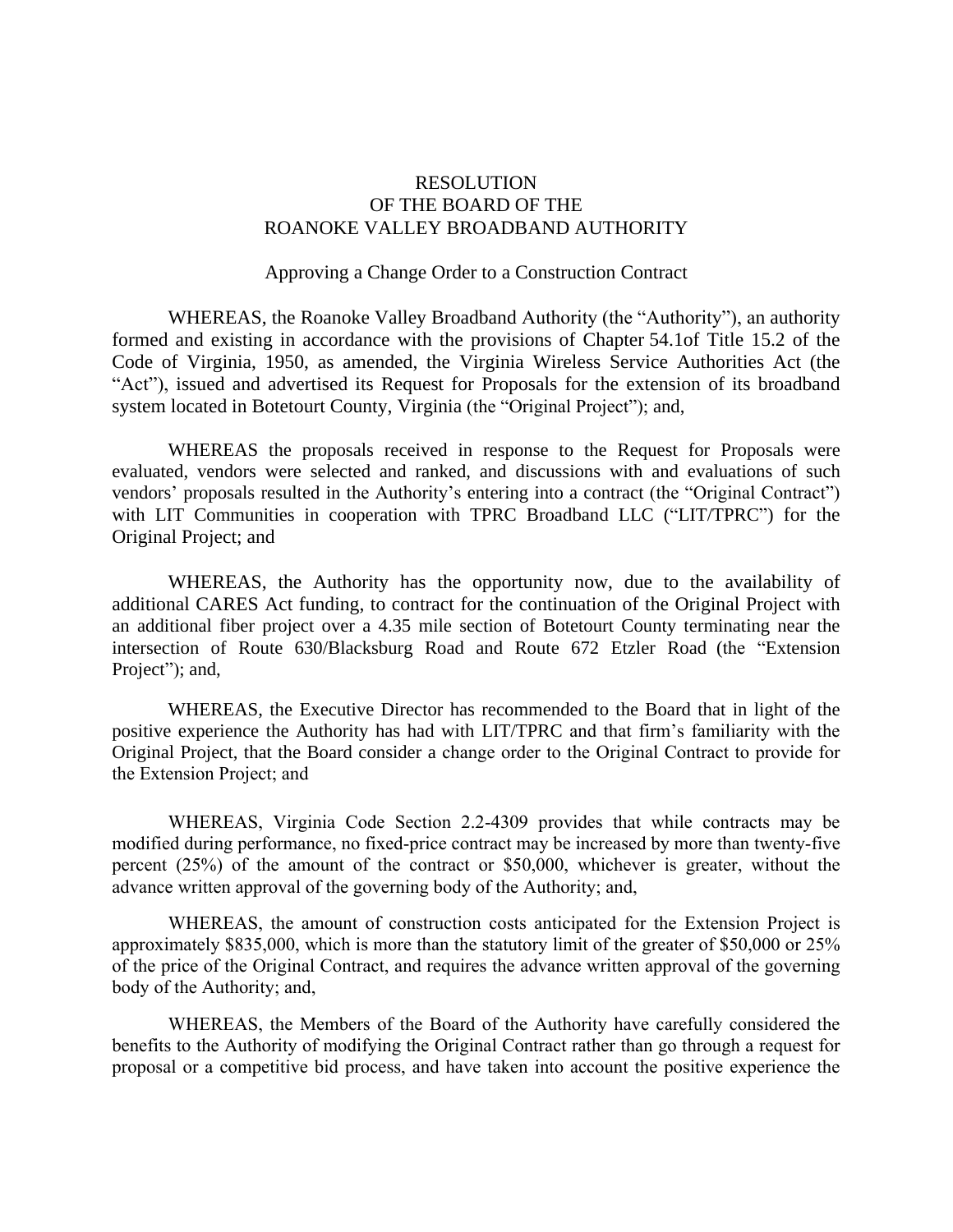### RESOLUTION OF THE BOARD OF THE ROANOKE VALLEY BROADBAND AUTHORITY

#### Approving a Change Order to a Construction Contract

WHEREAS, the Roanoke Valley Broadband Authority (the "Authority"), an authority formed and existing in accordance with the provisions of Chapter 54.1of Title 15.2 of the Code of Virginia, 1950, as amended, the Virginia Wireless Service Authorities Act (the "Act"), issued and advertised its Request for Proposals for the extension of its broadband system located in Botetourt County, Virginia (the "Original Project"); and,

WHEREAS the proposals received in response to the Request for Proposals were evaluated, vendors were selected and ranked, and discussions with and evaluations of such vendors' proposals resulted in the Authority's entering into a contract (the "Original Contract") with LIT Communities in cooperation with TPRC Broadband LLC ("LIT/TPRC") for the Original Project; and

WHEREAS, the Authority has the opportunity now, due to the availability of additional CARES Act funding, to contract for the continuation of the Original Project with an additional fiber project over a 4.35 mile section of Botetourt County terminating near the intersection of Route 630/Blacksburg Road and Route 672 Etzler Road (the "Extension Project"); and,

WHEREAS, the Executive Director has recommended to the Board that in light of the positive experience the Authority has had with LIT/TPRC and that firm's familiarity with the Original Project, that the Board consider a change order to the Original Contract to provide for the Extension Project; and

WHEREAS, Virginia Code Section 2.2-4309 provides that while contracts may be modified during performance, no fixed-price contract may be increased by more than twenty-five percent (25%) of the amount of the contract or \$50,000, whichever is greater, without the advance written approval of the governing body of the Authority; and,

WHEREAS, the amount of construction costs anticipated for the Extension Project is approximately \$835,000, which is more than the statutory limit of the greater of \$50,000 or 25% of the price of the Original Contract, and requires the advance written approval of the governing body of the Authority; and,

WHEREAS, the Members of the Board of the Authority have carefully considered the benefits to the Authority of modifying the Original Contract rather than go through a request for proposal or a competitive bid process, and have taken into account the positive experience the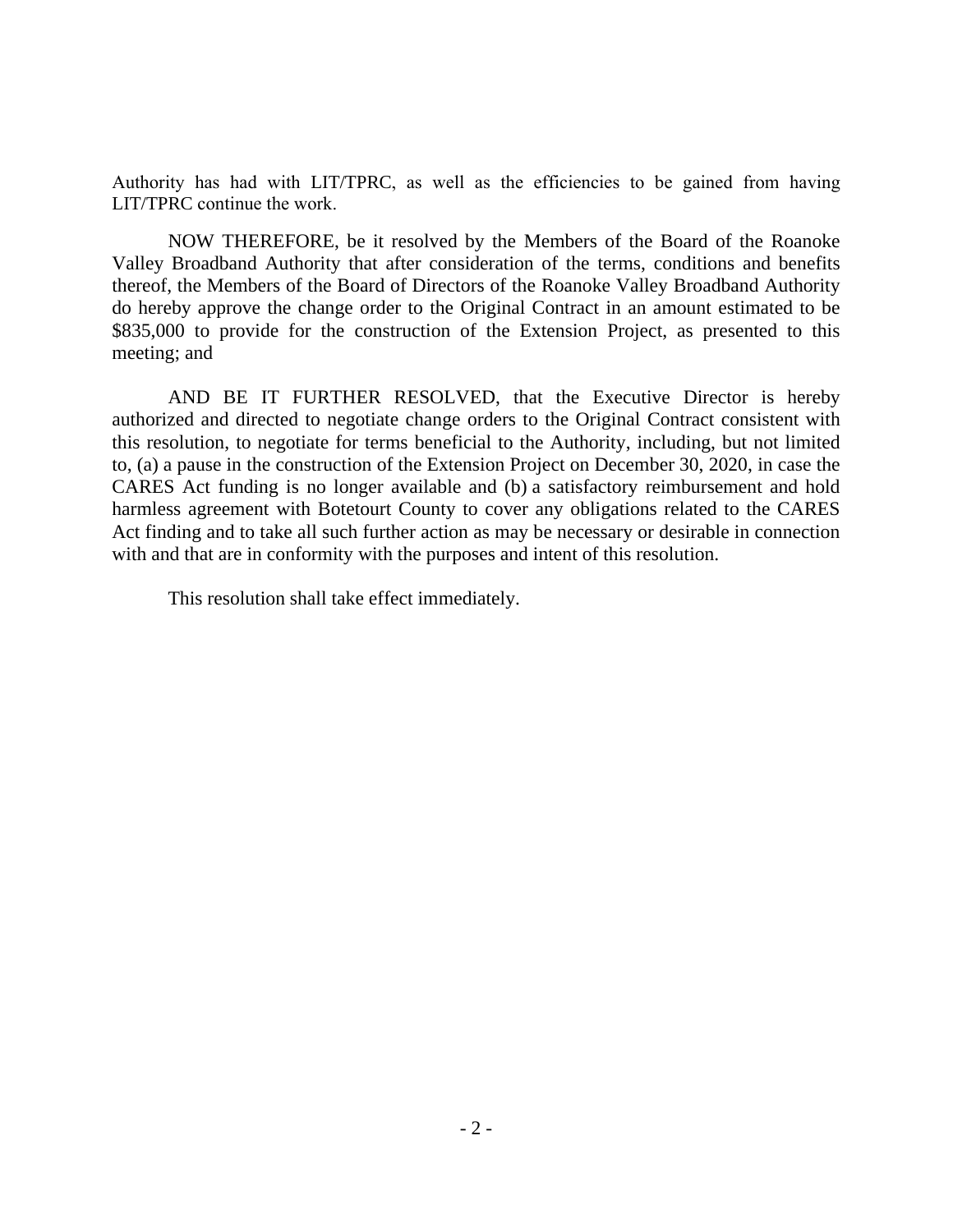Authority has had with LIT/TPRC, as well as the efficiencies to be gained from having LIT/TPRC continue the work.

NOW THEREFORE, be it resolved by the Members of the Board of the Roanoke Valley Broadband Authority that after consideration of the terms, conditions and benefits thereof, the Members of the Board of Directors of the Roanoke Valley Broadband Authority do hereby approve the change order to the Original Contract in an amount estimated to be \$835,000 to provide for the construction of the Extension Project, as presented to this meeting; and

AND BE IT FURTHER RESOLVED, that the Executive Director is hereby authorized and directed to negotiate change orders to the Original Contract consistent with this resolution, to negotiate for terms beneficial to the Authority, including, but not limited to, (a) a pause in the construction of the Extension Project on December 30, 2020, in case the CARES Act funding is no longer available and (b) a satisfactory reimbursement and hold harmless agreement with Botetourt County to cover any obligations related to the CARES Act finding and to take all such further action as may be necessary or desirable in connection with and that are in conformity with the purposes and intent of this resolution.

This resolution shall take effect immediately.